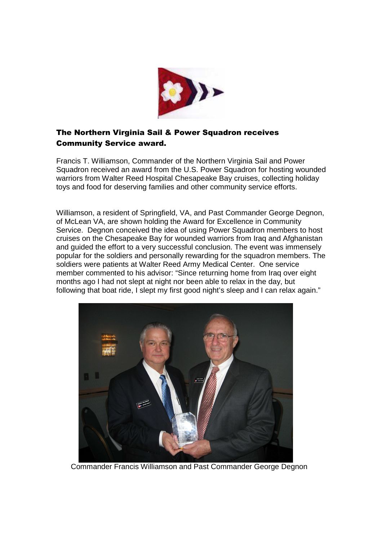

## The Northern Virginia Sail & Power Squadron receives Community Service award.

Francis T. Williamson, Commander of the Northern Virginia Sail and Power Squadron received an award from the U.S. Power Squadron for hosting wounded warriors from Walter Reed Hospital Chesapeake Bay cruises, collecting holiday toys and food for deserving families and other community service efforts.

Williamson, a resident of Springfield, VA, and Past Commander George Degnon, of McLean VA, are shown holding the Award for Excellence in Community Service. Degnon conceived the idea of using Power Squadron members to host cruises on the Chesapeake Bay for wounded warriors from Iraq and Afghanistan and guided the effort to a very successful conclusion. The event was immensely popular for the soldiers and personally rewarding for the squadron members. The soldiers were patients at Walter Reed Army Medical Center. One service member commented to his advisor: "Since returning home from Iraq over eight months ago I had not slept at night nor been able to relax in the day, but following that boat ride, I slept my first good night's sleep and I can relax again."



Commander Francis Williamson and Past Commander George Degnon